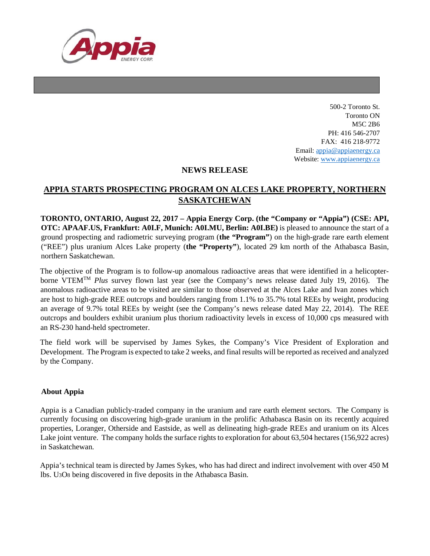

500-2 Toronto St. Toronto ON M5C 2B6 PH: 416 546-2707 FAX: 416 218-9772 Email: appia@appiaenergy.ca Website: www.appiaenergy.ca

## **NEWS RELEASE**

## **APPIA STARTS PROSPECTING PROGRAM ON ALCES LAKE PROPERTY, NORTHERN SASKATCHEWAN**

**TORONTO, ONTARIO, August 22, 2017 – Appia Energy Corp. (the "Company or "Appia") (CSE: API, OTC: APAAF.US, Frankfurt: A0I.F, Munich: A0I.MU, Berlin: A0I.BE)** is pleased to announce the start of a ground prospecting and radiometric surveying program (**the "Program"**) on the high-grade rare earth element ("REE") plus uranium Alces Lake property (**the "Property"**), located 29 km north of the Athabasca Basin, northern Saskatchewan.

The objective of the Program is to follow-up anomalous radioactive areas that were identified in a helicopterborne VTEMTM *Plus* survey flown last year (see the Company's news release dated July 19, 2016). The anomalous radioactive areas to be visited are similar to those observed at the Alces Lake and Ivan zones which are host to high-grade REE outcrops and boulders ranging from 1.1% to 35.7% total REEs by weight, producing an average of 9.7% total REEs by weight (see the Company's news release dated May 22, 2014). The REE outcrops and boulders exhibit uranium plus thorium radioactivity levels in excess of 10,000 cps measured with an RS-230 hand-held spectrometer.

The field work will be supervised by James Sykes, the Company's Vice President of Exploration and Development. The Program is expected to take 2 weeks, and final results will be reported as received and analyzed by the Company.

## **About Appia**

Appia is a Canadian publicly-traded company in the uranium and rare earth element sectors. The Company is currently focusing on discovering high-grade uranium in the prolific Athabasca Basin on its recently acquired properties, Loranger, Otherside and Eastside, as well as delineating high-grade REEs and uranium on its Alces Lake joint venture. The company holds the surface rights to exploration for about 63,504 hectares (156,922 acres) in Saskatchewan.

Appia's technical team is directed by James Sykes, who has had direct and indirect involvement with over 450 M lbs. U3O8 being discovered in five deposits in the Athabasca Basin.